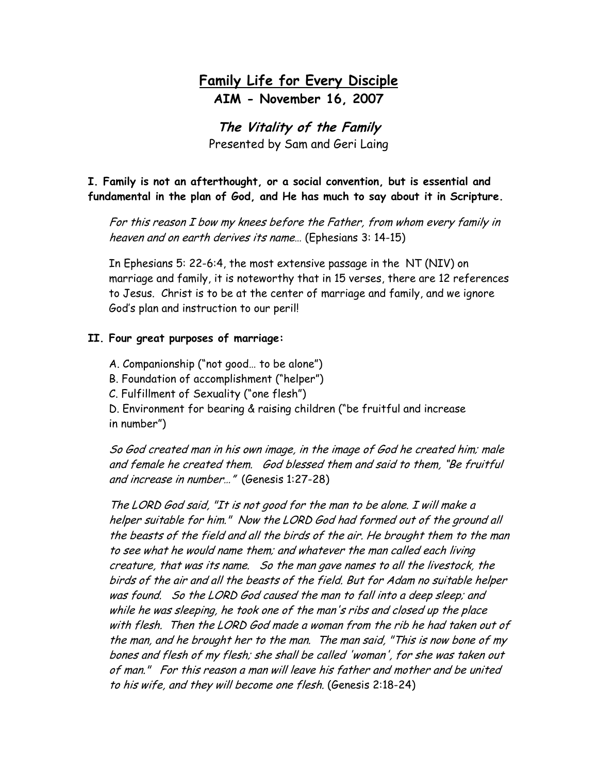## **Family Life for Every Disciple AIM - November 16, 2007**

**The Vitality of the Family** Presented by Sam and Geri Laing

**I. Family is not an afterthought, or a social convention, but is essential and fundamental in the plan of God, and He has much to say about it in Scripture.**

For this reason I bow my knees before the Father, from whom every family in heaven and on earth derives its name… (Ephesians 3: 14-15)

In Ephesians 5: 22-6:4, the most extensive passage in the NT (NIV) on marriage and family, it is noteworthy that in 15 verses, there are 12 references to Jesus. Christ is to be at the center of marriage and family, and we ignore God's plan and instruction to our peril!

### **II. Four great purposes of marriage:**

A. Companionship ("not good… to be alone")

B. Foundation of accomplishment ("helper")

C. Fulfillment of Sexuality ("one flesh")

D. Environment for bearing & raising children ("be fruitful and increase in number")

So God created man in his own image, in the image of God he created him; male and female he created them. God blessed them and said to them, "Be fruitful and increase in number…" (Genesis 1:27-28)

The LORD God said, "It is not good for the man to be alone. I will make a helper suitable for him." Now the LORD God had formed out of the ground all the beasts of the field and all the birds of the air. He brought them to the man to see what he would name them; and whatever the man called each living creature, that was its name. So the man gave names to all the livestock, the birds of the air and all the beasts of the field. But for Adam no suitable helper was found. So the LORD God caused the man to fall into a deep sleep; and while he was sleeping, he took one of the man's ribs and closed up the place with flesh. Then the LORD God made a woman from the rib he had taken out of the man, and he brought her to the man. The man said, "This is now bone of my bones and flesh of my flesh; she shall be called 'woman', for she was taken out of man." For this reason a man will leave his father and mother and be united to his wife, and they will become one flesh. (Genesis 2:18-24)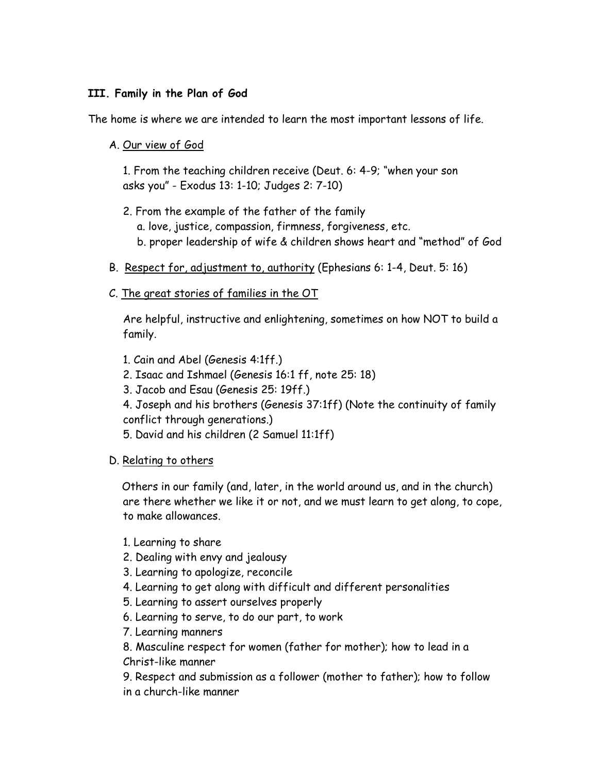## **III. Family in the Plan of God**

The home is where we are intended to learn the most important lessons of life.

A. Our view of God

1. From the teaching children receive (Deut. 6: 4-9; "when your son asks you" - Exodus 13: 1-10; Judges 2: 7-10)

- 2. From the example of the father of the family a. love, justice, compassion, firmness, forgiveness, etc. b. proper leadership of wife & children shows heart and "method" of God
- B. Respect for, adjustment to, authority (Ephesians 6: 1-4, Deut. 5: 16)
- C. The great stories of families in the OT

Are helpful, instructive and enlightening, sometimes on how NOT to build a family.

- 1. Cain and Abel (Genesis 4:1ff.)
- 2. Isaac and Ishmael (Genesis 16:1 ff, note 25: 18)
- 3. Jacob and Esau (Genesis 25: 19ff.)
- 4. Joseph and his brothers (Genesis 37:1ff) (Note the continuity of family conflict through generations.)
- 5. David and his children (2 Samuel 11:1ff)
- D. Relating to others

 Others in our family (and, later, in the world around us, and in the church) are there whether we like it or not, and we must learn to get along, to cope, to make allowances.

- 1. Learning to share
- 2. Dealing with envy and jealousy
- 3. Learning to apologize, reconcile
- 4. Learning to get along with difficult and different personalities
- 5. Learning to assert ourselves properly
- 6. Learning to serve, to do our part, to work
- 7. Learning manners

8. Masculine respect for women (father for mother); how to lead in a Christ-like manner

9. Respect and submission as a follower (mother to father); how to follow in a church-like manner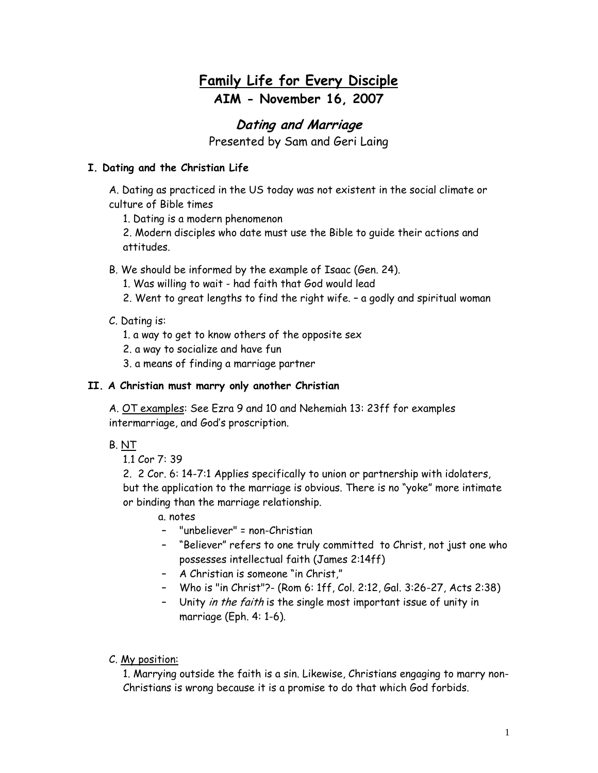# **Family Life for Every Disciple AIM - November 16, 2007**

## **Dating and Marriage**

Presented by Sam and Geri Laing

## **I. Dating and the Christian Life**

A. Dating as practiced in the US today was not existent in the social climate or culture of Bible times

1. Dating is a modern phenomenon

2. Modern disciples who date must use the Bible to guide their actions and attitudes.

- B. We should be informed by the example of Isaac (Gen. 24).
	- 1. Was willing to wait had faith that God would lead
	- 2. Went to great lengths to find the right wife. a godly and spiritual woman

### C. Dating is:

- 1. a way to get to know others of the opposite sex
- 2. a way to socialize and have fun
- 3. a means of finding a marriage partner

#### **II. A Christian must marry only another Christian**

A. OT examples: See Ezra 9 and 10 and Nehemiah 13: 23ff for examples intermarriage, and God's proscription.

B. NT

1.1 Cor 7: 39

2. 2 Cor. 6: 14-7:1 Applies specifically to union or partnership with idolaters, but the application to the marriage is obvious. There is no "yoke" more intimate or binding than the marriage relationship.

- a. notes
- "unbeliever" = non-Christian
- "Believer" refers to one truly committed to Christ, not just one who possesses intellectual faith (James 2:14ff)
- A Christian is someone "in Christ,"
- Who is "in Christ"?- (Rom 6: 1ff, Col. 2:12, Gal. 3:26-27, Acts 2:38)
- Unity *in the faith* is the single most important issue of unity in marriage (Eph. 4: 1-6).

#### C. My position:

1. Marrying outside the faith is a sin. Likewise, Christians engaging to marry non-Christians is wrong because it is a promise to do that which God forbids.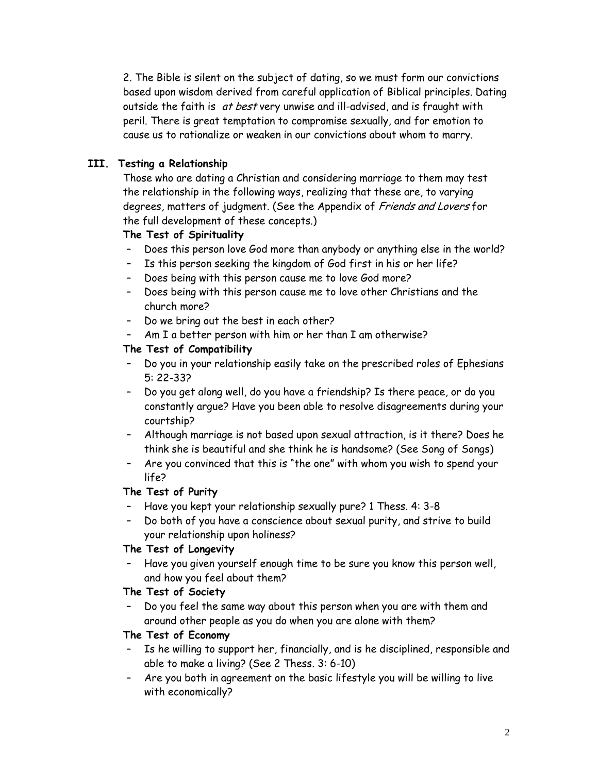2. The Bible is silent on the subject of dating, so we must form our convictions based upon wisdom derived from careful application of Biblical principles. Dating outside the faith is at best very unwise and ill-advised, and is fraught with peril. There is great temptation to compromise sexually, and for emotion to cause us to rationalize or weaken in our convictions about whom to marry.

## **III. Testing a Relationship**

Those who are dating a Christian and considering marriage to them may test the relationship in the following ways, realizing that these are, to varying degrees, matters of judgment. (See the Appendix of Friends and Lovers for the full development of these concepts.)

## **The Test of Spirituality**

- Does this person love God more than anybody or anything else in the world?
- Is this person seeking the kingdom of God first in his or her life?
- Does being with this person cause me to love God more?
- Does being with this person cause me to love other Christians and the church more?
- Do we bring out the best in each other?
- Am I a better person with him or her than I am otherwise?

### **The Test of Compatibility**

- Do you in your relationship easily take on the prescribed roles of Ephesians 5: 22-33?
- Do you get along well, do you have a friendship? Is there peace, or do you constantly argue? Have you been able to resolve disagreements during your courtship?
- Although marriage is not based upon sexual attraction, is it there? Does he think she is beautiful and she think he is handsome? (See Song of Songs)
- Are you convinced that this is "the one" with whom you wish to spend your life?

## **The Test of Purity**

- Have you kept your relationship sexually pure? 1 Thess. 4: 3-8
- Do both of you have a conscience about sexual purity, and strive to build your relationship upon holiness?

#### **The Test of Longevity**

– Have you given yourself enough time to be sure you know this person well, and how you feel about them?

#### **The Test of Society**

– Do you feel the same way about this person when you are with them and around other people as you do when you are alone with them?

#### **The Test of Economy**

- Is he willing to support her, financially, and is he disciplined, responsible and able to make a living? (See 2 Thess. 3: 6-10)
- Are you both in agreement on the basic lifestyle you will be willing to live with economically?